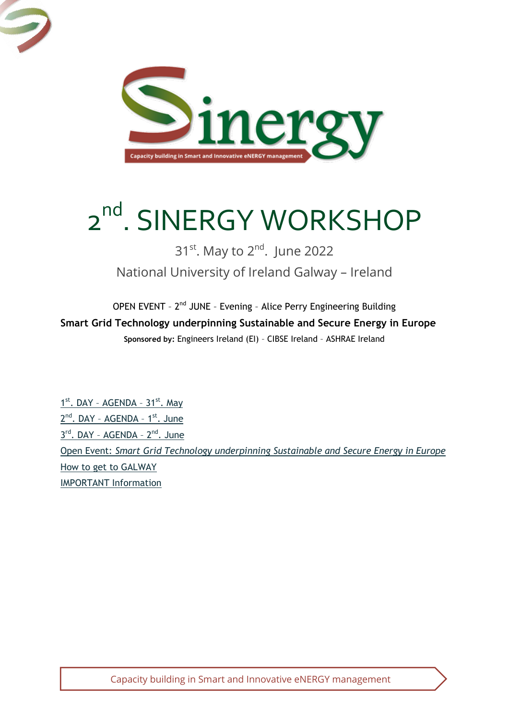

# 2<sup>nd</sup>. SINERGY WORKSHOP

## 31<sup>st</sup>. May to 2<sup>nd</sup>. June 2022 National University of Ireland Galway – Ireland

OPEN EVENT - 2<sup>nd</sup> JUNE - Evening - Alice Perry Engineering Building **Smart Grid Technology underpinning Sustainable and Secure Energy in Europe Sponsored by:** Engineers Ireland (EI) – CIBSE Ireland – ASHRAE Ireland

1<sup>st</sup>. DAY - [AGENDA](#page-1-0) - 31<sup>st</sup>. May 2<sup>nd</sup>. DAY - [AGENDA](#page-2-0) - 1<sup>st</sup>. June 3rd. DAY - [AGENDA](#page-3-0) - 2<sup>nd</sup>. June Open Event: *[Smart Grid Technology underpinning Sustainable and Secure Energy in Europe](#page-3-1)* How to get to GALWAY IMPORTANT Information

Capacity building in Smart and Innovative eNERGY management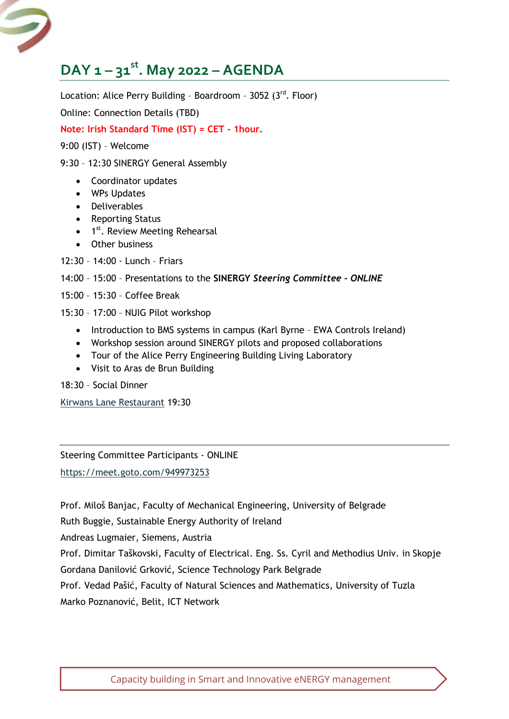## <span id="page-1-0"></span>**DAY 1 – 31st. May 2022 – AGENDA**

Location: Alice Perry Building - Boardroom - 3052  $(3^{rd}$ . Floor)

Online: Connection Details (TBD)

#### **Note: Irish Standard Time (IST) = CET - 1hour.**

9:00 (IST) – Welcome

#### 9:30 – 12:30 SINERGY General Assembly

- Coordinator updates
- WPs Updates
- Deliverables
- Reporting Status
- 1<sup>st</sup>. Review Meeting Rehearsal
- Other business
- 12:30 14:00 Lunch Friars

#### 14:00 – 15:00 – Presentations to the **SINERGY** *Steering Committee - ONLINE*

- 15:00 15:30 Coffee Break
- 15:30 17:00 NUIG Pilot workshop
	- Introduction to BMS systems in campus (Karl Byrne EWA Controls Ireland)
	- Workshop session around SINERGY pilots and proposed collaborations
	- Tour of the Alice Perry Engineering Building Living Laboratory
	- Visit to Aras de Brun Building

18:30 – Social Dinner

[Kirwans Lane Restaurant](https://www.kirwanslane.ie/) 19:30

Steering Committee Participants - ONLINE

<https://meet.goto.com/949973253>

Prof. Miloš Banjac, Faculty of Mechanical Engineering, University of Belgrade

Ruth Buggie, Sustainable Energy Authority of Ireland

Andreas Lugmaier, Siemens, Austria

Prof. Dimitar Taškovski, Faculty of Electrical. Eng. Ss. Cyril and Methodius Univ. in Skopje Gordana Danilović Grković, Science Technology Park Belgrade

Prof. Vedad Pašić, Faculty of Natural Sciences and Mathematics, University of Tuzla Marko Poznanović, Belit, ICT Network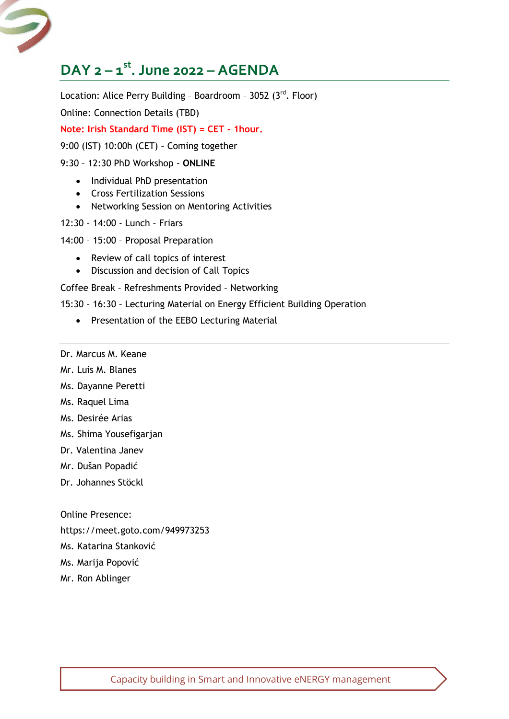## <span id="page-2-0"></span>**DAY 2 – 1 st. June 2022 – AGENDA**

Location: Alice Perry Building - Boardroom - 3052  $(3^{rd}$ . Floor)

Online: Connection Details (TBD)

**Note: Irish Standard Time (IST) = CET - 1hour.**

9:00 (IST) 10:00h (CET) – Coming together

#### 9:30 – 12:30 PhD Workshop - **ONLINE**

- Individual PhD presentation
- Cross Fertilization Sessions
- Networking Session on Mentoring Activities
- 12:30 14:00 Lunch Friars

14:00 – 15:00 – Proposal Preparation

- Review of call topics of interest
- Discussion and decision of Call Topics

Coffee Break – Refreshments Provided – Networking

- 15:30 16:30 Lecturing Material on Energy Efficient Building Operation
	- Presentation of the EEBO Lecturing Material
- Dr. Marcus M. Keane
- Mr. Luis M. Blanes
- Ms. Dayanne Peretti
- Ms. Raquel Lima
- Ms. Desirée Arias
- Ms. Shima Yousefigarjan
- Dr. Valentina Janev
- Mr. Dušan Popadić
- Dr. Johannes Stöckl

Online Presence:

https://meet.goto.com/949973253

- Ms. Katarina Stanković
- Ms. Marija Popović
- Mr. Ron Ablinger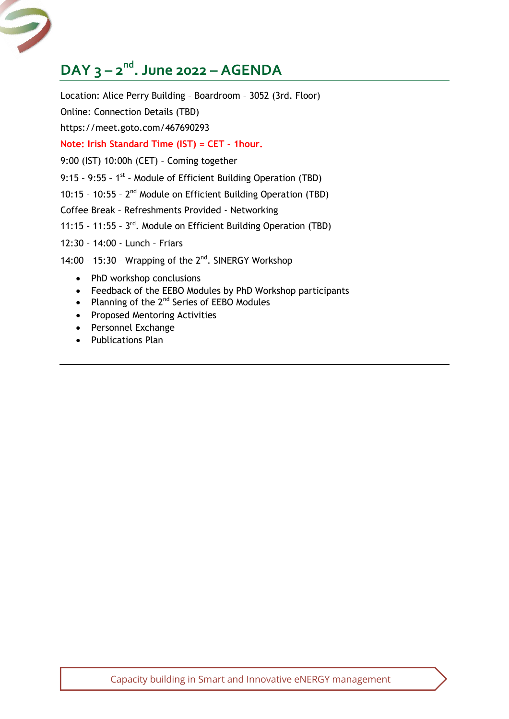## <span id="page-3-0"></span>**DAY 3 – 2 nd. June 2022 – AGENDA**

Location: Alice Perry Building – Boardroom – 3052 (3rd. Floor) Online: Connection Details (TBD) https://meet.goto.com/467690293 **Note: Irish Standard Time (IST) = CET - 1hour.**  9:00 (IST) 10:00h (CET) – Coming together 9:15 - 9:55 -  $1^{st}$  - Module of Efficient Building Operation (TBD) 10:15 - 10:55 -  $2^{nd}$  Module on Efficient Building Operation (TBD) Coffee Break – Refreshments Provided - Networking 11:15 - 11:55 - 3<sup>rd</sup>. Module on Efficient Building Operation (TBD) 12:30 – 14:00 - Lunch – Friars 14:00 - 15:30 - Wrapping of the 2<sup>nd</sup>. SINERGY Workshop • PhD workshop conclusions Feedback of the EEBO Modules by PhD Workshop participants

- Planning of the  $2^{nd}$  Series of EEBO Modules
- Proposed Mentoring Activities
- Personnel Exchange
- <span id="page-3-1"></span>• Publications Plan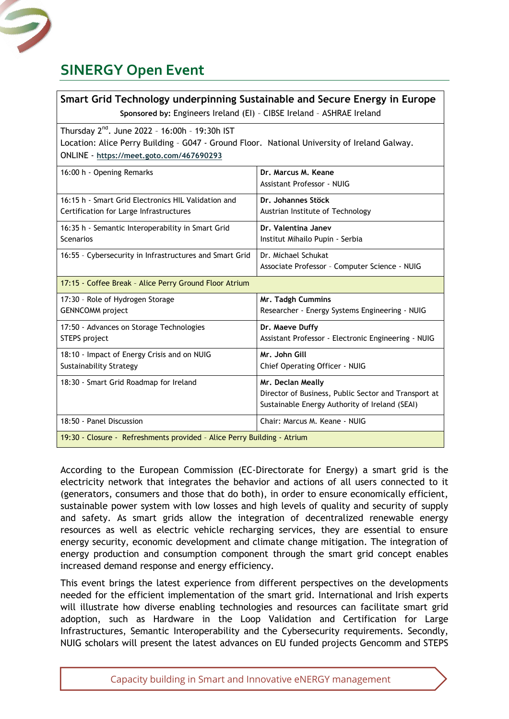

### **SINERGY Open Event**

| Smart Grid Technology underpinning Sustainable and Secure Energy in Europe                                                                                                                             |                                                                                                                             |
|--------------------------------------------------------------------------------------------------------------------------------------------------------------------------------------------------------|-----------------------------------------------------------------------------------------------------------------------------|
| Sponsored by: Engineers Ireland (EI) - CIBSE Ireland - ASHRAE Ireland                                                                                                                                  |                                                                                                                             |
| Thursday 2 <sup>nd</sup> . June 2022 - 16:00h - 19:30h IST<br>Location: Alice Perry Building - G047 - Ground Floor. National University of Ireland Galway.<br>ONLINE - https://meet.goto.com/467690293 |                                                                                                                             |
| 16:00 h - Opening Remarks                                                                                                                                                                              | Dr. Marcus M. Keane<br>Assistant Professor - NUIG                                                                           |
| 16:15 h - Smart Grid Electronics HIL Validation and<br>Certification for Large Infrastructures                                                                                                         | Dr. Johannes Stöck<br>Austrian Institute of Technology                                                                      |
| 16:35 h - Semantic Interoperability in Smart Grid<br>Scenarios                                                                                                                                         | Dr. Valentina Janev<br>Institut Mihailo Pupin - Serbia                                                                      |
| 16:55 - Cybersecurity in Infrastructures and Smart Grid                                                                                                                                                | Dr. Michael Schukat<br>Associate Professor - Computer Science - NUIG                                                        |
| 17:15 - Coffee Break - Alice Perry Ground Floor Atrium                                                                                                                                                 |                                                                                                                             |
| 17:30 - Role of Hydrogen Storage<br><b>GENNCOMM</b> project                                                                                                                                            | Mr. Tadgh Cummins<br>Researcher - Energy Systems Engineering - NUIG                                                         |
| 17:50 - Advances on Storage Technologies<br><b>STEPS</b> project                                                                                                                                       | Dr. Maeve Duffy<br>Assistant Professor - Electronic Engineering - NUIG                                                      |
| 18:10 - Impact of Energy Crisis and on NUIG<br><b>Sustainability Strategy</b>                                                                                                                          | Mr. John Gill<br>Chief Operating Officer - NUIG                                                                             |
| 18:30 - Smart Grid Roadmap for Ireland                                                                                                                                                                 | Mr. Declan Meally<br>Director of Business, Public Sector and Transport at<br>Sustainable Energy Authority of Ireland (SEAI) |
| 18:50 - Panel Discussion                                                                                                                                                                               | Chair: Marcus M. Keane - NUIG                                                                                               |
| 19:30 - Closure - Refreshments provided - Alice Perry Building - Atrium                                                                                                                                |                                                                                                                             |

According to the European Commission (EC-Directorate for Energy) a smart grid is the electricity network that integrates the behavior and actions of all users connected to it (generators, consumers and those that do both), in order to ensure economically efficient, sustainable power system with low losses and high levels of quality and security of supply and safety. As smart grids allow the integration of decentralized renewable energy resources as well as electric vehicle recharging services, they are essential to ensure energy security, economic development and climate change mitigation. The integration of energy production and consumption component through the smart grid concept enables increased demand response and energy efficiency.

This event brings the latest experience from different perspectives on the developments needed for the efficient implementation of the smart grid. International and Irish experts will illustrate how diverse enabling technologies and resources can facilitate smart grid adoption, such as Hardware in the Loop Validation and Certification for Large Infrastructures, Semantic Interoperability and the Cybersecurity requirements. Secondly, NUIG scholars will present the latest advances on EU funded projects Gencomm and STEPS